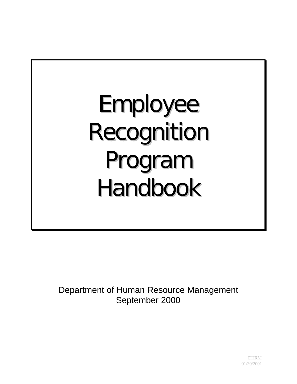Employee Recognition Program Handbook

Department of Human Resource Management September 2000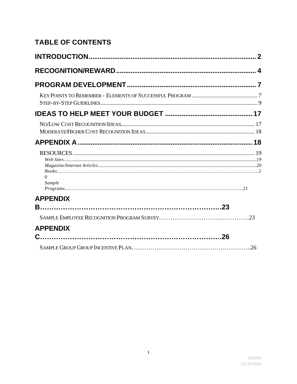# **TABLE OF CONTENTS**

| $\theta$<br>Sample |  |
|--------------------|--|
| <b>APPENDIX</b>    |  |
|                    |  |
| <b>APPENDIX</b>    |  |
|                    |  |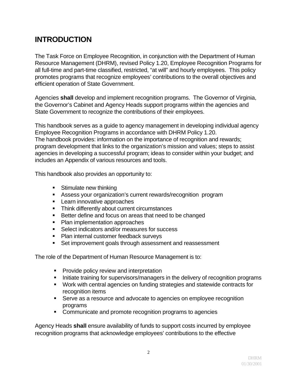# **INTRODUCTION**

The Task Force on Employee Recognition, in conjunction with the Department of Human Resource Management (DHRM), revised Policy 1.20, Employee Recognition Programs for all full-time and part-time classified, restricted, "at will" and hourly employees. This policy promotes programs that recognize employees' contributions to the overall objectives and efficient operation of State Government.

Agencies **shall** develop and implement recognition programs. The Governor of Virginia, the Governor's Cabinet and Agency Heads support programs within the agencies and State Government to recognize the contributions of their employees.

This handbook serves as a guide to agency management in developing individual agency Employee Recognition Programs in accordance with DHRM Policy 1.20. The handbook provides: information on the importance of recognition and rewards; program development that links to the organization's mission and values; steps to assist agencies in developing a successful program; ideas to consider within your budget; and includes an Appendix of various resources and tools.

This handbook also provides an opportunity to:

- Stimulate new thinking
- Assess your organization's current rewards/recognition program
- Learn innovative approaches
- Think differently about current circumstances
- Better define and focus on areas that need to be changed
- Plan implementation approaches
- **•** Select indicators and/or measures for success
- Plan internal customer feedback surveys
- Set improvement goals through assessment and reassessment

The role of the Department of Human Resource Management is to:

- Provide policy review and interpretation
- Initiate training for supervisors/managers in the delivery of recognition programs
- Work with central agencies on funding strategies and statewide contracts for recognition items
- Serve as a resource and advocate to agencies on employee recognition programs
- Communicate and promote recognition programs to agencies

Agency Heads **shall** ensure availability of funds to support costs incurred by employee recognition programs that acknowledge employees' contributions to the effective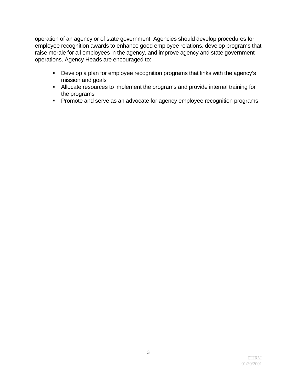operation of an agency or of state government. Agencies should develop procedures for employee recognition awards to enhance good employee relations, develop programs that raise morale for all employees in the agency, and improve agency and state government operations. Agency Heads are encouraged to:

- Develop a plan for employee recognition programs that links with the agency's mission and goals
- Allocate resources to implement the programs and provide internal training for the programs
- Promote and serve as an advocate for agency employee recognition programs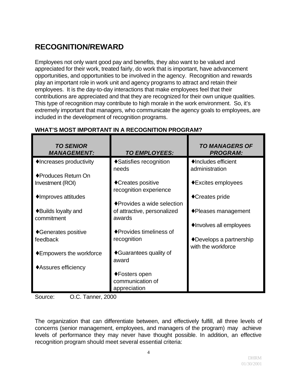# **RECOGNITION/REWARD**

Employees not only want good pay and benefits, they also want to be valued and appreciated for their work, treated fairly, do work that is important, have advancement opportunities, and opportunities to be involved in the agency. Recognition and rewards play an important role in work unit and agency programs to attract and retain their employees. It is the day-to-day interactions that make employees feel that their contributions are appreciated and that they are recognized for their own unique qualities. This type of recognition may contribute to high morale in the work environment. So, it's extremely important that managers, who communicate the agency goals to employees, are included in the development of recognition programs.

| <b>TO SENIOR</b><br><b>MANAGEMENT:</b>       | <b>TO EMPLOYEES:</b>                         | <b>TO MANAGERS OF</b><br><b>PROGRAM:</b>       |
|----------------------------------------------|----------------------------------------------|------------------------------------------------|
| • Increases productivity                     | ◆ Satisfies recognition<br>needs             | ◆ Includes efficient<br>administration         |
| ◆ Produces Return On                         |                                              |                                                |
| Investment (ROI)                             | ◆ Creates positive<br>recognition experience | ◆ Excites employees                            |
| ◆ Improves attitudes                         | ◆ Provides a wide selection                  | ◆ Creates pride                                |
| $\triangle$ Builds loyalty and<br>commitment | of attractive, personalized<br>awards        | $\bullet$ Pleases management                   |
|                                              |                                              | • Involves all employees                       |
| ◆ Generates positive                         | ◆ Provides timeliness of                     |                                                |
| feedback                                     | recognition                                  | ◆ Develops a partnership<br>with the workforce |
| $\triangle$ Empowers the workforce           | ◆ Guarantees quality of<br>award             |                                                |
| ◆ Assures efficiency                         |                                              |                                                |
|                                              | ◆ Fosters open                               |                                                |
|                                              | communication of                             |                                                |
|                                              | appreciation                                 |                                                |

## **WHAT'S MOST IMPORTANT IN A RECOGNITION PROGRAM?**

Source: O.C. Tanner, 2000

The organization that can differentiate between, and effectively fulfill, all three levels of concerns (senior management, employees, and managers of the program) may achieve levels of performance they may never have thought possible. In addition, an effective recognition program should meet several essential criteria: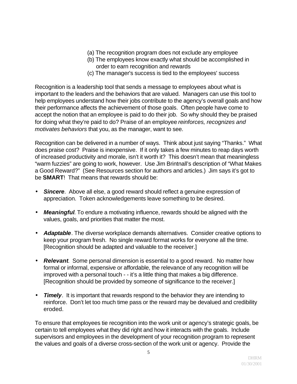- (a) The recognition program does not exclude any employee
- (b) The employees know exactly what should be accomplished in order to earn recognition and rewards
- (c) The manager's success is tied to the employees' success

Recognition is a leadership tool that sends a message to employees about what is important to the leaders and the behaviors that are valued. Managers can use this tool to help employees understand how their jobs contribute to the agency's overall goals and how their performance affects the achievement of those goals. Often people have come to accept the notion that an employee is paid to do their job. So why should they be praised for doing what they're paid to do? Praise of an employee *reinforces, recognizes and motivates behaviors* that you, as the manager, want to see.

Recognition can be delivered in a number of ways. Think about just saying "Thanks." What does praise cost? Praise is inexpensive. If it only takes a few minutes to reap days worth of increased productivity and morale, isn't it worth it? This doesn't mean that meaningless "warm fuzzies" are going to work, however. Use Jim Brintnall's description of "What Makes a Good Reward?" (See Resources section for authors and articles.) Jim says it's got to be **SMART**! That means that rewards should be:

- *Sincere*. Above all else, a good reward should reflect a genuine expression of appreciation. Token acknowledgements leave something to be desired.
- *Meaningful*. To endure a motivating influence, rewards should be aligned with the values, goals, and priorities that matter the most.
- *Adaptable*. The diverse workplace demands alternatives. Consider creative options to keep your program fresh. No single reward format works for everyone all the time. [Recognition should be adapted and valuable to the receiver.]
- *Relevant*. Some personal dimension is essential to a good reward. No matter how formal or informal, expensive or affordable, the relevance of any recognition will be improved with a personal touch - - it's a little thing that makes a big difference. [Recognition should be provided by someone of significance to the receiver.]
- **Timely**. It is important that rewards respond to the behavior they are intending to reinforce. Don't let too much time pass or the reward may be devalued and credibility eroded.

To ensure that employees tie recognition into the work unit or agency's strategic goals, be certain to tell employees what they did right and how it interacts with the goals. Include supervisors and employees in the development of your recognition program to represent the values and goals of a diverse cross-section of the work unit or agency. Provide the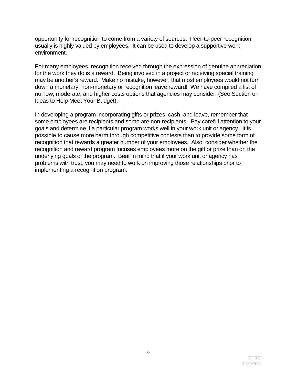opportunity for recognition to come from a variety of sources. Peer-to-peer recognition usually is highly valued by employees. It can be used to develop a supportive work environment.

For many employees, recognition received through the expression of genuine appreciation for the work they do is a reward. Being involved in a project or receiving special training may be another's reward. Make no mistake, however, that most employees would not turn down a monetary, non-monetary or recognition leave reward! We have compiled a list of no, low, moderate, and higher costs options that agencies may consider. (See Section on Ideas to Help Meet Your Budget).

In developing a program incorporating gifts or prizes, cash, and leave, remember that some employees are recipients and some are non-recipients. Pay careful attention to your goals and determine if a particular program works well in your work unit or agency. It is possible to cause more harm through competitive contests than to provide some form of recognition that rewards a greater number of your employees. Also, consider whether the recognition and reward program focuses employees more on the gift or prize than on the underlying goals of the program. Bear in mind that if your work unit or agency has problems with trust, you may need to work on improving those relationships prior to implementing a recognition program.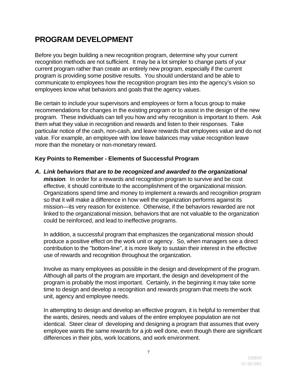# **PROGRAM DEVELOPMENT**

Before you begin building a new recognition program, determine why your current recognition methods are not sufficient. It may be a lot simpler to change parts of your current program rather than create an entirely new program, especially if the current program is providing some positive results. You should understand and be able to communicate to employees how the recognition program ties into the agency's vision so employees know what behaviors and goals that the agency values.

Be certain to include your supervisors and employees or form a focus group to make recommendations for changes in the existing program or to assist in the design of the new program. These individuals can tell you how and why recognition is important to them. Ask them what they value in recognition and rewards and listen to their responses. Take particular notice of the cash, non-cash, and leave rewards that employees value and do not value. For example, an employee with low leave balances may value recognition leave more than the monetary or non-monetary reward.

### **Key Points to Remember - Elements of Successful Program**

*A. Link behaviors that are to be recognized and awarded to the organizational* 

*mission.* In order for a rewards and recognition program to survive and be cost effective, it should contribute to the accomplishment of the organizational mission. Organizations spend time and money to implement a rewards and recognition program so that it will make a difference in how well the organization performs against its mission—its very reason for existence. Otherwise, if the behaviors rewarded are not linked to the organizational mission, behaviors that are not valuable to the organization could be reinforced, and lead to ineffective programs.

In addition, a successful program that emphasizes the organizational mission should produce a positive effect on the work unit or agency. So, when managers see a direct contribution to the "bottom-line", it is more likely to sustain their interest in the effective use of rewards and recognition throughout the organization.

Involve as many employees as possible in the design and development of the program. Although all parts of the program are important, the design and development of the program is probably the most important. Certainly, in the beginning it may take some time to design and develop a recognition and rewards program that meets the work unit, agency and employee needs.

In attempting to design and develop an effective program, it is helpful to remember that the wants, desires, needs and values of the entire employee population are not identical. Steer clear of developing and designing a program that assumes that every employee wants the same rewards for a job well done, even though there are significant differences in their jobs, work locations, and work environment.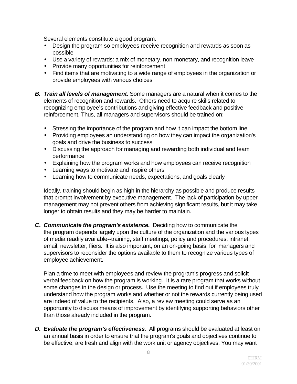Several elements constitute a good program.

- Design the program so employees receive recognition and rewards as soon as possible
- Use a variety of rewards: a mix of monetary, non-monetary, and recognition leave
- Provide many opportunities for reinforcement
- Find items that are motivating to a wide range of employees in the organization or provide employees with various choices
- *B. Train all levels of management.* Some managers are a natural when it comes to the elements of recognition and rewards. Others need to acquire skills related to recognizing employee's contributions and giving effective feedback and positive reinforcement. Thus, all managers and supervisors should be trained on:
	- Stressing the importance of the program and how it can impact the bottom line
	- Providing employees an understanding on how they can impact the organization's goals and drive the business to success
	- Discussing the approach for managing and rewarding both individual and team performance
	- Explaining how the program works and how employees can receive recognition
	- Learning ways to motivate and inspire others
	- Learning how to communicate needs, expectations, and goals clearly

Ideally, training should begin as high in the hierarchy as possible and produce results that prompt involvement by executive management. The lack of participation by upper management may not prevent others from achieving significant results, but it may take longer to obtain results and they may be harder to maintain.

*C. Communicate the program's existence.* Deciding how to communicate the the program depends largely upon the culture of the organization and the various types of media readily available--training, staff meetings, policy and procedures, intranet, email, newsletter, fliers. It is also important, on an on-going basis, for managers and supervisors to reconsider the options available to them to recognize various types of employee achievement*.* 

Plan a time to meet with employees and review the program's progress and solicit verbal feedback on how the program is working. It is a rare program that works without some changes in the design or process. Use the meeting to find out if employees truly understand how the program works and whether or not the rewards currently being used are indeed of value to the recipients. Also, a review meeting could serve as an opportunity to discuss means of improvement by identifying supporting behaviors other than those already included in the program.

*D. Evaluate the program's effectiveness.* All programs should be evaluated at least on an annual basis in order to ensure that the program's goals and objectives continue to be effective, are fresh and align with the work unit or agency objectives. You may want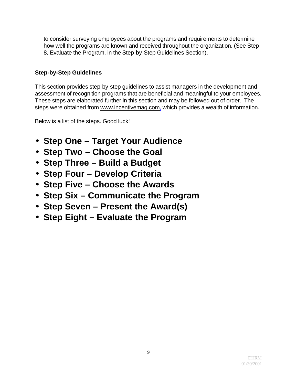to consider surveying employees about the programs and requirements to determine how well the programs are known and received throughout the organization. (See Step 8, Evaluate the Program, in the Step-by-Step Guidelines Section).

### **Step-by-Step Guidelines**

This section provides step-by-step guidelines to assist managers in the development and assessment of recognition programs that are beneficial and meaningful to your employees. These steps are elaborated further in this section and may be followed out of order. The steps were obtained from www.incentivemag.com, which provides a wealth of information.

Below is a list of the steps. Good luck!

- **Step One Target Your Audience**
- **Step Two Choose the Goal**
- **Step Three Build a Budget**
- **Step Four Develop Criteria**
- **Step Five Choose the Awards**
- **Step Six Communicate the Program**
- **Step Seven Present the Award(s)**
- **Step Eight Evaluate the Program**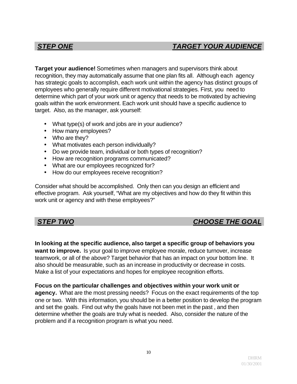## *STEP ONE TARGET YOUR AUDIENCE*

**Target your audience!** Sometimes when managers and supervisors think about recognition, they may automatically assume that one plan fits all. Although each agency has strategic goals to accomplish, each work unit within the agency has distinct groups of employees who generally require different motivational strategies. First, you need to determine which part of your work unit or agency that needs to be motivated by achieving goals within the work environment. Each work unit should have a specific audience to target. Also, as the manager, ask yourself:

- What type(s) of work and jobs are in your audience?
- How many employees?
- Who are they?
- What motivates each person individually?
- Do we provide team, individual or both types of recognition?
- How are recognition programs communicated?
- What are our employees recognized for?
- How do our employees receive recognition?

Consider what should be accomplished. Only then can you design an efficient and effective program. Ask yourself, "What are my objectives and how do they fit within this work unit or agency and with these employees?"

## *STEP TWO CHOOSE THE GOAL*

**In looking at the specific audience, also target a specific group of behaviors you want to improve.** Is your goal to improve employee morale, reduce turnover, increase teamwork, or all of the above? Target behavior that has an impact on your bottom line. It also should be measurable, such as an increase in productivity or decrease in costs. Make a list of your expectations and hopes for employee recognition efforts.

**Focus on the particular challenges and objectives within your work unit or agency.** What are the most pressing needs? Focus on the exact requirements of the top one or two. With this information, you should be in a better position to develop the program and set the goals. Find out why the goals have not been met in the past , and then determine whether the goals are truly what is needed. Also, consider the nature of the problem and if a recognition program is what you need.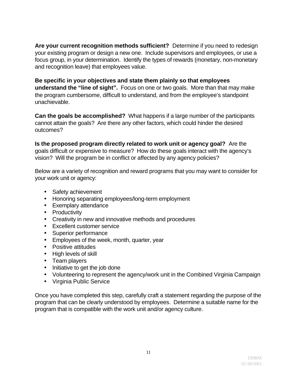**Are your current recognition methods sufficient?** Determine if you need to redesign your existing program or design a new one. Include supervisors and employees, or use a focus group, in your determination. Identify the types of rewards (monetary, non-monetary and recognition leave) that employees value.

**Be specific in your objectives and state them plainly so that employees understand the "line of sight".** Focus on one or two goals. More than that may make the program cumbersome, difficult to understand, and from the employee's standpoint unachievable.

**Can the goals be accomplished?** What happens if a large number of the participants cannot attain the goals? Are there any other factors, which could hinder the desired outcomes?

**Is the proposed program directly related to work unit or agency goal?** Are the goals difficult or expensive to measure? How do these goals interact with the agency's vision? Will the program be in conflict or affected by any agency policies?

Below are a variety of recognition and reward programs that you may want to consider for your work unit or agency:

- Safety achievement
- Honoring separating employees/long-term employment
- Exemplary attendance
- Productivity
- Creativity in new and innovative methods and procedures
- Excellent customer service
- Superior performance
- Employees of the week, month, quarter, year
- Positive attitudes
- High levels of skill
- Team players
- Initiative to get the job done
- Volunteering to represent the agency/work unit in the Combined Virginia Campaign
- Virginia Public Service

Once you have completed this step, carefully craft a statement regarding the purpose of the program that can be clearly understood by employees. Determine a suitable name for the program that is compatible with the work unit and/or agency culture.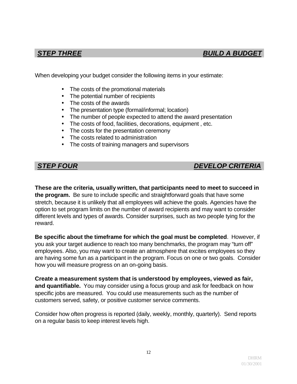When developing your budget consider the following items in your estimate:

- The costs of the promotional materials
- The potential number of recipients
- The costs of the awards
- The presentation type (formal/informal; location)
- The number of people expected to attend the award presentation
- The costs of food, facilities, decorations, equipment , etc.
- The costs for the presentation ceremony
- The costs related to administration
- The costs of training managers and supervisors

## *STEP FOUR DEVELOP CRITERIA*

**These are the criteria, usually written, that participants need to meet to succeed in the program.** Be sure to include specific and straightforward goals that have some stretch, because it is unlikely that all employees will achieve the goals. Agencies have the option to set program limits on the number of award recipients and may want to consider different levels and types of awards. Consider surprises, such as two people tying for the reward.

**Be specific about the timeframe for which the goal must be completed**. However, if you ask your target audience to reach too many benchmarks, the program may "turn off" employees. Also, you may want to create an atmosphere that excites employees so they are having some fun as a participant in the program. Focus on one or two goals. Consider how you will measure progress on an on-going basis.

**Create a measurement system that is understood by employees, viewed as fair, and quantifiable.** You may consider using a focus group and ask for feedback on how specific jobs are measured. You could use measurements such as the number of customers served, safety, or positive customer service comments.

Consider how often progress is reported (daily, weekly, monthly, quarterly). Send reports on a regular basis to keep interest levels high.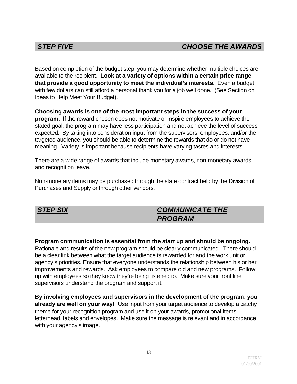Based on completion of the budget step, you may determine whether multiple choices are available to the recipient. **Look at a variety of options within a certain price range that provide a good opportunity to meet the individual's interests.** Even a budget with few dollars can still afford a personal thank you for a job well done. (See Section on Ideas to Help Meet Your Budget).

**Choosing awards is one of the most important steps in the success of your program.** If the reward chosen does not motivate or inspire employees to achieve the stated goal, the program may have less participation and not achieve the level of success expected. By taking into consideration input from the supervisors, employees, and/or the targeted audience, you should be able to determine the rewards that do or do not have meaning. Variety is important because recipients have varying tastes and interests.

There are a wide range of awards that include monetary awards, non-monetary awards, and recognition leave.

Non-monetary items may be purchased through the state contract held by the Division of Purchases and Supply or through other vendors.

## *STEP SIX COMMUNICATE THE PROGRAM*

### **Program communication is essential from the start up and should be ongoing.**

Rationale and results of the new program should be clearly communicated. There should be a clear link between what the target audience is rewarded for and the work unit or agency's priorities. Ensure that everyone understands the relationship between his or her improvements and rewards. Ask employees to compare old and new programs. Follow up with employees so they know they're being listened to. Make sure your front line supervisors understand the program and support it.

**By involving employees and supervisors in the development of the program, you already are well on your way!** Use input from your target audience to develop a catchy theme for your recognition program and use it on your awards, promotional items, letterhead, labels and envelopes. Make sure the message is relevant and in accordance with your agency's image.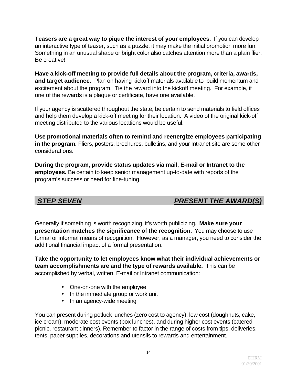**Teasers are a great way to pique the interest of your employees**. If you can develop an interactive type of teaser, such as a puzzle, it may make the initial promotion more fun. Something in an unusual shape or bright color also catches attention more than a plain flier. Be creative!

**Have a kick-off meeting to provide full details about the program, criteria, awards, and target audience.** Plan on having kickoff materials available to build momentum and excitement about the program. Tie the reward into the kickoff meeting. For example, if one of the rewards is a plaque or certificate, have one available.

If your agency is scattered throughout the state, be certain to send materials to field offices and help them develop a kick-off meeting for their location. A video of the original kick-off meeting distributed to the various locations would be useful.

**Use promotional materials often to remind and reenergize employees participating in the program.** Fliers, posters, brochures, bulletins, and your Intranet site are some other considerations.

**During the program, provide status updates via mail, E-mail or Intranet to the employees.** Be certain to keep senior management up-to-date with reports of the program's success or need for fine-tuning.

## *STEP SEVEN PRESENT THE AWARD(S)*

Generally if something is worth recognizing, it's worth publicizing. **Make sure your presentation matches the significance of the recognition.** You may choose to use formal or informal means of recognition. However, as a manager, you need to consider the additional financial impact of a formal presentation.

**Take the opportunity to let employees know what their individual achievements or team accomplishments are and the type of rewards available.** This can be accomplished by verbal, written, E-mail or Intranet communication:

- One-on-one with the employee
- In the immediate group or work unit
- In an agency-wide meeting

You can present during potluck lunches (zero cost to agency), low cost (doughnuts, cake, ice cream), moderate cost events (box lunches), and during higher cost events (catered picnic, restaurant dinners). Remember to factor in the range of costs from tips, deliveries, tents, paper supplies, decorations and utensils to rewards and entertainment.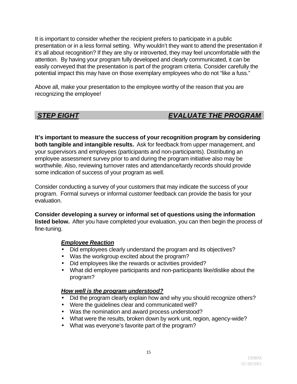It is important to consider whether the recipient prefers to participate in a public presentation or in a less formal setting. Why wouldn't they want to attend the presentation if it's all about recognition? If they are shy or introverted, they may feel uncomfortable with the attention. By having your program fully developed and clearly communicated, it can be easily conveyed that the presentation is part of the program criteria. Consider carefully the potential impact this may have on those exemplary employees who do not "like a fuss."

Above all, make your presentation to the employee worthy of the reason that you are recognizing the employee!

## **STEP EIGHT EVALUATE THE PROGRAM**

**It's important to measure the success of your recognition program by considering both tangible and intangible results.** Ask for feedback from upper management, and your supervisors and employees (participants and non-participants). Distributing an employee assessment survey prior to and during the program initiative also may be worthwhile. Also, reviewing turnover rates and attendance/tardy records should provide some indication of success of your program as well.

Consider conducting a survey of your customers that may indicate the success of your program. Formal surveys or informal customer feedback can provide the basis for your evaluation.

**Consider developing a survey or informal set of questions using the information listed below.** After you have completed your evaluation, you can then begin the process of fine-tuning.

### *Employee Reaction*

- Did employees clearly understand the program and its objectives?
- Was the workgroup excited about the program?
- Did employees like the rewards or activities provided?
- What did employee participants and non-participants like/dislike about the program?

### *How well is the program understood?*

- Did the program clearly explain how and why you should recognize others?
- Were the guidelines clear and communicated well?
- Was the nomination and award process understood?
- What were the results, broken down by work unit, region, agency-wide?
- What was everyone's favorite part of the program?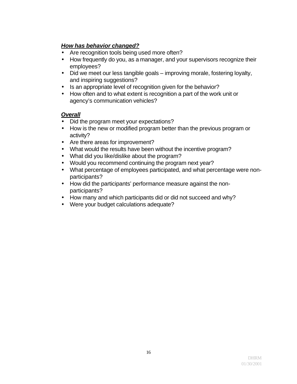### *How has behavior changed?*

- Are recognition tools being used more often?
- How frequently do you, as a manager, and your supervisors recognize their employees?
- Did we meet our less tangible goals improving morale, fostering loyalty, and inspiring suggestions?
- Is an appropriate level of recognition given for the behavior?
- How often and to what extent is recognition a part of the work unit or agency's communication vehicles?

### *Overall*

- Did the program meet your expectations?
- How is the new or modified program better than the previous program or activity?
- Are there areas for improvement?
- What would the results have been without the incentive program?
- What did you like/dislike about the program?
- Would you recommend continuing the program next year?
- What percentage of employees participated, and what percentage were nonparticipants?
- How did the participants' performance measure against the nonparticipants?
- How many and which participants did or did not succeed and why?
- Were your budget calculations adequate?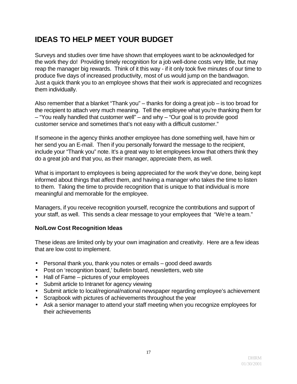# **IDEAS TO HELP MEET YOUR BUDGET**

Surveys and studies over time have shown that employees want to be acknowledged for the work they do! Providing timely recognition for a job well-done costs very little, but may reap the manager big rewards. Think of it this way - if it only took five minutes of our time to produce five days of increased productivity, most of us would jump on the bandwagon. Just a quick thank you to an employee shows that their work is appreciated and recognizes them individually.

Also remember that a blanket "Thank you" – thanks for doing a great job – is too broad for the recipient to attach very much meaning. Tell the employee what you're thanking them for – "You really handled that customer well" – and why – "Our goal is to provide good customer service and sometimes that's not easy with a difficult customer."

If someone in the agency thinks another employee has done something well, have him or her send you an E-mail. Then if you personally forward the message to the recipient, include your "Thank you" note. It's a great way to let employees know that others think they do a great job and that you, as their manager, appreciate them, as well.

What is important to employees is being appreciated for the work they've done, being kept informed about things that affect them, and having a manager who takes the time to listen to them. Taking the time to provide recognition that is unique to that individual is more meaningful and memorable for the employee.

Managers, if you receive recognition yourself, recognize the contributions and support of your staff, as well. This sends a clear message to your employees that "We're a team."

### **No/Low Cost Recognition Ideas**

These ideas are limited only by your own imagination and creativity. Here are a few ideas that are low cost to implement.

- Personal thank you, thank you notes or emails good deed awards
- Post on 'recognition board,' bulletin board, newsletters, web site
- Hall of Fame pictures of your employees
- Submit article to Intranet for agency viewing
- Submit article to local/regional/national newspaper regarding employee's achievement
- Scrapbook with pictures of achievements throughout the year
- Ask a senior manager to attend your staff meeting when you recognize employees for their achievements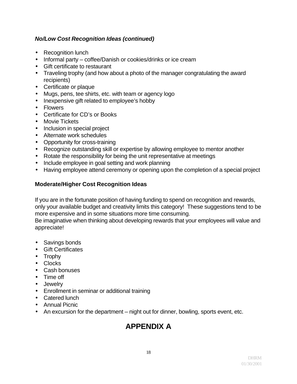### *No/Low Cost Recognition Ideas (continued)*

- Recognition lunch
- Informal party coffee/Danish or cookies/drinks or ice cream
- Gift certificate to restaurant
- Traveling trophy (and how about a photo of the manager congratulating the award recipients)
- Certificate or plaque
- Mugs, pens, tee shirts, etc. with team or agency logo
- Inexpensive gift related to employee's hobby
- Flowers
- Certificate for CD's or Books
- Movie Tickets
- Inclusion in special project
- Alternate work schedules
- Opportunity for cross-training
- Recognize outstanding skill or expertise by allowing employee to mentor another
- Rotate the responsibility for being the unit representative at meetings
- Include employee in goal setting and work planning
- Having employee attend ceremony or opening upon the completion of a special project

#### **Moderate/Higher Cost Recognition Ideas**

If you are in the fortunate position of having funding to spend on recognition and rewards, only your available budget and creativity limits this category! These suggestions tend to be more expensive and in some situations more time consuming.

Be imaginative when thinking about developing rewards that your employees will value and appreciate!

- Savings bonds
- Gift Certificates
- Trophy
- Clocks
- Cash bonuses
- Time off
- Jewelry
- Enrollment in seminar or additional training
- Catered lunch
- Annual Picnic
- An excursion for the department night out for dinner, bowling, sports event, etc.

# **APPENDIX A**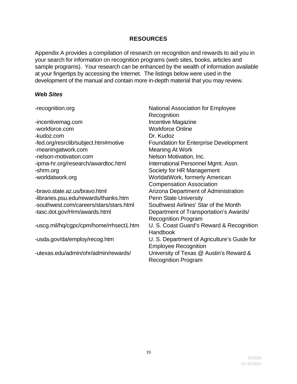#### **RESOURCES**

Appendix A provides a compilation of research on recognition and rewards to aid you in your search for information on recognition programs (web sites, books, articles and sample programs). Your research can be enhanced by the wealth of information available at your fingertips by accessing the Internet. The listings below were used in the development of the manual and contain more in-depth material that you may review.

#### *Web Sites*

-incentivemag.com Incentive Magazine -workforce.com Workforce Online -kudoz.com Dr. Kudoz -meaningatwork.com Meaning At Work -nelson-motivation.com Nelson Motivation, Inc. -ipma-hr.org/research/awardtoc.html International Personnel Mgmt. Assn. -shrm.org Society for HR Management -worldatwork.org WorldatWork, formerly American

-bravo.state.az.us/bravo.html Arizona Department of Administration -libraries.psu.edu/rewards/thanks.htm Penn State University -southwest.com/careers/stars/stars.html Southwest Airlines' Star of the Month

-recognition.org **National Association for Employee Recognition** -fed.org/resrclib/subject.htm#motive Foundation for Enterprise Development Compensation Association -tasc.dot.gov/Hrm/awards.html Department of Transportation's Awards/ Recognition Program -uscg.mil/hq/cgpc/cpm/home/rrhsect1.htm U. S. Coast Guard's Reward & Recognition **Handbook** -usda.gov/da/employ/recog.htm U. S. Department of Agriculture's Guide for Employee Recognition -utexas.edu/admin/ohr/admin/rewards/ University of Texas @ Austin's Reward & Recognition Program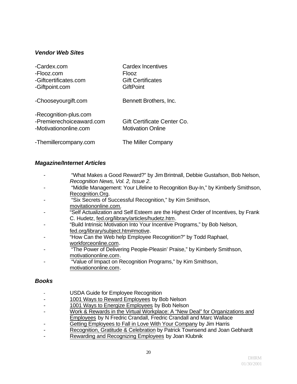#### *Vendor Web Sites*

| -Cardex.com                                                                | <b>Cardex Incentives</b>                                |
|----------------------------------------------------------------------------|---------------------------------------------------------|
| -Flooz.com                                                                 | Flooz                                                   |
| -Giftcertificates.com                                                      | <b>Gift Certificates</b>                                |
| -Giftpoint.com                                                             | <b>GiftPoint</b>                                        |
| -Chooseyourgift.com                                                        | Bennett Brothers, Inc.                                  |
| -Recognition-plus.com<br>-Premierechoiceaward.com<br>-Motivationonline.com | Gift Certificate Center Co.<br><b>Motivation Online</b> |
| -Themillercompany.com                                                      | The Miller Company                                      |

#### *Magazine/Internet Articles*

- "What Makes a Good Reward?" by Jim Brintnall, Debbie Gustafson, Bob Nelson, *Recognition News, Vol. 2, Issue 2*.
- "Middle Management: Your Lifeline to Recognition Buy-In," by Kimberly Smithson, Recognition.Org.
- "Six Secrets of Successful Recognition," by Kim Smithson, movitationonline.com.
- "Self Actualization and Self Esteem are the Highest Order of Incentives, by Frank C. Hudetz, fed.org/library/articles/hudetz.htm.
- "Build Intrinsic Motivation Into Your Incentive Programs," by Bob Nelson, fed.org/library/subject.htm#motive.
- "How Can the Web help Employee Recognition?" by Todd Raphael, workforceonline.com.
- "The Power of Delivering People-Pleasin' Praise," by Kimberly Smithson, motivationonline.com.
- "Value of Impact on Recognition Programs," by Kim Smithson, motivationonline.com.

#### *Books*

- USDA Guide for Employee Recognition
- 1001 Ways to Reward Employees by Bob Nelson
- 1001 Ways to Energize Employees by Bob Nelson
- Work & Rewards in the Virtual Workplace: A "New Deal" for Organizations and Employees by N Fredric Crandall, Fredric Crandall and Marc Wallace
- Getting Employees to Fall in Love With Your Company by Jim Harris
- Recognition, Gratitude & Celebration by Patrick Townsend and Joan Gebhardt
- Rewarding and Recognizing Employees by Joan Klubnik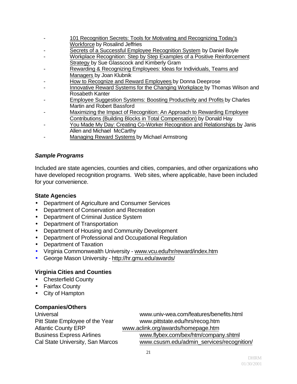- 101 Recognition Secrets: Tools for Motivating and Recognizing Today's Workforce by Rosalind Jeffries
- Secrets of a Successful Employee Recognition System by Daniel Boyle
- Workplace Recognition: Step by Step Examples of a Positive Reinforcement Strategy by Sue Glasscock and Kimberly Gram
- Rewarding & Recognizing Employees: Ideas for Individuals, Teams and Managers by Joan Klubnik
- How to Recognize and Reward Employees by Donna Deeprose
- Innovative Reward Systems for the Changing Workplace by Thomas Wilson and Rosabeth Kanter
- Employee Suggestion Systems: Boosting Productivity and Profits by Charles Martin and Robert Bassford
- Maximizing the Impact of Recognition: An Approach to Rewarding Employee Contributions (Building Blocks in Total Compensation) by Donald Hay
- You Made My Day: Creating Co-Worker Recognition and Relationships by Janis Allen and Michael McCarthy
- Managing Reward Systems by Michael Armstrong

#### *Sample Programs*

Included are state agencies, counties and cities, companies, and other organizations who have developed recognition programs. Web sites, where applicable, have been included for your convenience.

#### **State Agencies**

- Department of Agriculture and Consumer Services
- Department of Conservation and Recreation
- Department of Criminal Justice System
- Department of Transportation
- Department of Housing and Community Development
- Department of Professional and Occupational Regulation
- Department of Taxation
- Virginia Commonwealth University www.vcu.edu/hr/reward/index.htm
- George Mason University http://hr.gmu.edu/awards/

### **Virginia Cities and Counties**

- Chesterfield County
- Fairfax County
- City of Hampton

### **Companies/Others**

Universal www.univ-wea.com/features/benefits.html Pitt State Employee of the Year www.pittstate.edu/hrs/recog.htm Atlantic County ERP www.aclink.org/awards/homepage.htm Business Express Airlines www.flybex.com/bex/htm/company.shtml Cal State University, San Marcos www.csusm.edu/admin\_services/recognition/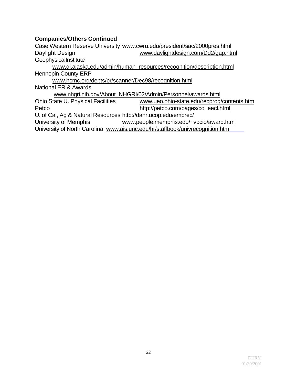### **Companies/Others Continued**

University of North Carolina www.ais.unc.edu/hr/staffbook/univrecognition.htm Case Western Reserve University www.cwru.edu/president/sac/2000pres.html Daylight Design www.daylightdesign.com/Dd2/gap.html **GeophysicalInstitute** www.gi.alaska.edu/admin/human\_resources/recognition/description.html Hennepin County ERP www.hcmc.org/depts/pr/scanner/Dec98/recognition.html National ER & Awards www.nhgri.nih.gov/About\_NHGRI/02/Admin/Personnel/awards.html Ohio State U. Physical Facilities www.ueo.ohio-state.edu/recprog/contents.htm Petco http://petco.com/pages/co\_eecl.html U. of Cal, Ag & Natural Resources http://danr.ucop.edu/emprec/ University of Memphis www.people.memphis.edu/~vpcio/award.htm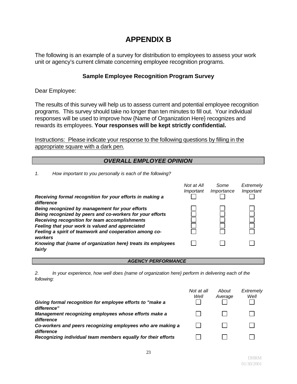## **APPENDIX B**

The following is an example of a survey for distribution to employees to assess your work unit or agency's current climate concerning employee recognition programs.

#### **Sample Employee Recognition Program Survey**

Dear Employee:

The results of this survey will help us to assess current and potential employee recognition programs. This survey should take no longer than ten minutes to fill out. Your individual responses will be used to improve how {Name of Organization Here} recognizes and rewards its employees. **Your responses will be kept strictly confidential.** 

Instructions: Please indicate your response to the following questions by filling in the appropriate square with a dark pen.

#### *OVERALL EMPLOYEE OPINION*

*1. How important to you personally is each of the following?* 

| Receiving formal recognition for your efforts in making a               | Not at All<br>Important | Some<br>Importance | Extremely<br>Important |
|-------------------------------------------------------------------------|-------------------------|--------------------|------------------------|
| difference                                                              |                         |                    |                        |
| Being recognized by management for your efforts                         |                         |                    |                        |
| Being recognized by peers and co-workers for your efforts               |                         |                    |                        |
| Receiving recognition for team accomplishments                          |                         |                    |                        |
| Feeling that your work is valued and appreciated                        |                         |                    |                        |
| Feeling a spirit of teamwork and cooperation among co-<br>workers       |                         |                    |                        |
| Knowing that {name of organization here} treats its employees<br>fairly |                         |                    |                        |
|                                                                         |                         |                    |                        |

#### *AGENCY PERFORMANCE*

*2. In your experience, how well does {name of organization here} perform in delivering each of the following:* 

|                                                                           | Not at all<br>Well | About<br>Average | Extremely<br>Well |
|---------------------------------------------------------------------------|--------------------|------------------|-------------------|
| Giving formal recognition for employee efforts to "make a<br>difference"  |                    |                  |                   |
| Management recognizing employees whose efforts make a<br>difference       |                    |                  |                   |
| Co-workers and peers recognizing employees who are making a<br>difference |                    |                  |                   |
| Recognizing individual team members equally for their efforts             |                    |                  |                   |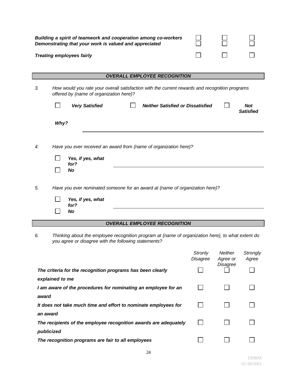|       | Building a spirit of teamwork and cooperation among co-workers<br>Demonstrating that your work is valued and appreciated                                  |                            |                                 |                                |
|-------|-----------------------------------------------------------------------------------------------------------------------------------------------------------|----------------------------|---------------------------------|--------------------------------|
|       | <b>Treating employees fairly</b>                                                                                                                          |                            |                                 |                                |
|       |                                                                                                                                                           |                            |                                 |                                |
|       | <b>OVERALL EMPLOYEE RECOGNITION</b>                                                                                                                       |                            |                                 |                                |
| 3.    | How would you rate your overall satisfaction with the current rewards and recognition programs<br>offered by {name of organization here}?                 |                            |                                 |                                |
|       | <b>Neither Satisfied or Dissatisfied</b><br><b>Very Satisfied</b>                                                                                         |                            |                                 | <b>Not</b><br><b>Satisfied</b> |
|       | Why?                                                                                                                                                      |                            |                                 |                                |
| 4.    | Have you ever received an award from {name of organization here}?<br>Yes, if yes, what<br>for?                                                            |                            |                                 |                                |
| 5.    | <b>No</b><br>Have you ever nominated someone for an award at {name of organization here}?                                                                 |                            |                                 |                                |
|       | Yes, if yes, what<br>for?                                                                                                                                 |                            |                                 |                                |
|       | No                                                                                                                                                        |                            |                                 |                                |
|       | <b>OVERALL EMPLOYEE RECOGNITION</b>                                                                                                                       |                            |                                 |                                |
| 6.    | Thinking about the employee recognition program at {name of organization here}, to what extent do<br>you agree or disagree with the following statements? |                            |                                 |                                |
|       |                                                                                                                                                           | <b>Stronly</b><br>Disagree | Neither<br>Agree or<br>Disagree | Strongly<br>Agree              |
|       | The criteria for the recognition programs has been clearly<br>explained to me                                                                             |                            |                                 |                                |
| award | I am aware of the procedures for nominating an employee for an                                                                                            |                            |                                 |                                |
|       | It does not take much time and effort to nominate employees for<br>an award                                                                               |                            |                                 |                                |
|       | The recipients of the employee recognition awards are adequately                                                                                          |                            |                                 |                                |

| publicized                                         |  |
|----------------------------------------------------|--|
| The recognition programs are fair to all employees |  |

 $\Box$ 

 $\Box$ 

 $\Box$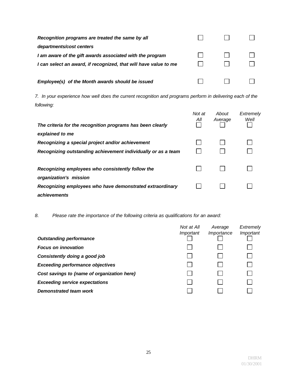| Recognition programs are treated the same by all                 |  |  |
|------------------------------------------------------------------|--|--|
| departments/cost centers                                         |  |  |
| I am aware of the gift awards associated with the program        |  |  |
| I can select an award, if recognized, that will have value to me |  |  |
|                                                                  |  |  |
| Employee(s) of the Month awards should be issued                 |  |  |

*7. In your experience how well does the current recognition and programs perform in delivering each of the following:* 

| The criteria for the recognition programs has been clearly                  | Not at<br>All | About<br>Average | Extremely<br>Well |
|-----------------------------------------------------------------------------|---------------|------------------|-------------------|
| explained to me                                                             |               |                  |                   |
| Recognizing a special project and/or achievement                            |               |                  |                   |
| Recognizing outstanding achievement individually or as a team               |               |                  |                   |
| Recognizing employees who consistently follow the<br>organization's mission |               |                  |                   |
| Recognizing employees who have demonstrated extraordinary<br>achievements   |               |                  |                   |

*8. Please rate the importance of the following criteria as qualifications for an award:* 

|                                             | Not at All | Average    | Extremely |
|---------------------------------------------|------------|------------|-----------|
|                                             | Important  | Importance | Important |
| <b>Outstanding performance</b>              |            |            |           |
| <b>Focus on innovation</b>                  |            |            |           |
| Consistently doing a good job               |            |            |           |
| <b>Exceeding performance objectives</b>     |            |            |           |
| Cost savings to {name of organization here} |            |            |           |
| <b>Exceeding service expectations</b>       |            |            |           |
| Demonstrated team work                      |            |            |           |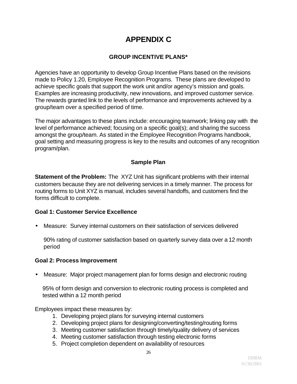# **APPENDIX C**

### **GROUP INCENTIVE PLANS\***

Agencies have an opportunity to develop Group Incentive Plans based on the revisions made to Policy 1.20, Employee Recognition Programs. These plans are developed to achieve specific goals that support the work unit and/or agency's mission and goals. Examples are increasing productivity, new innovations, and improved customer service. The rewards granted link to the levels of performance and improvements achieved by a group/team over a specified period of time.

The major advantages to these plans include: encouraging teamwork; linking pay with the level of performance achieved; focusing on a specific goal(s); and sharing the success amongst the group/team. As stated in the Employee Recognition Programs handbook, goal setting and measuring progress is key to the results and outcomes of any recognition program/plan.

### **Sample Plan**

**Statement of the Problem:** The XYZ Unit has significant problems with their internal customers because they are not delivering services in a timely manner. The process for routing forms to Unit XYZ is manual, includes several handoffs, and customers find the forms difficult to complete.

#### **Goal 1: Customer Service Excellence**

• Measure: Survey internal customers on their satisfaction of services delivered

90% rating of customer satisfaction based on quarterly survey data over a 12 month period

#### **Goal 2: Process Improvement**

• Measure: Major project management plan for forms design and electronic routing

95% of form design and conversion to electronic routing process is completed and tested within a 12 month period

Employees impact these measures by:

- 1. Developing project plans for surveying internal customers
- 2. Developing project plans for designing/converting/testing/routing forms
- 3. Meeting customer satisfaction through timely/quality delivery of services
- 4. Meeting customer satisfaction through testing electronic forms
- 5. Project completion dependent on availability of resources